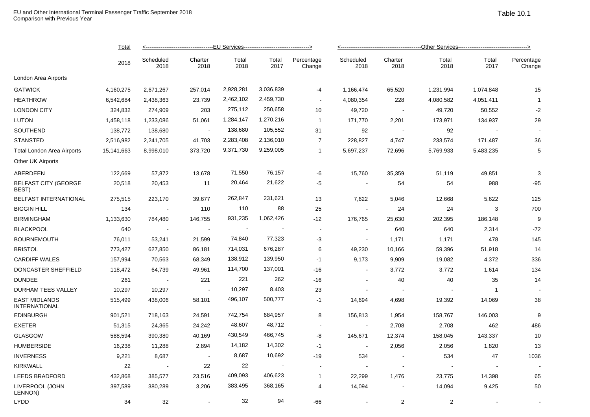|                                              | <b>Total</b><br>2018 | <------------------------------------EU Services---------------------------------> |                 |               |               |                      |                   |                 |               |                |                      |  |
|----------------------------------------------|----------------------|------------------------------------------------------------------------------------|-----------------|---------------|---------------|----------------------|-------------------|-----------------|---------------|----------------|----------------------|--|
|                                              |                      | Scheduled<br>2018                                                                  | Charter<br>2018 | Total<br>2018 | Total<br>2017 | Percentage<br>Change | Scheduled<br>2018 | Charter<br>2018 | Total<br>2018 | Total<br>2017  | Percentage<br>Change |  |
| London Area Airports                         |                      |                                                                                    |                 |               |               |                      |                   |                 |               |                |                      |  |
| <b>GATWICK</b>                               | 4,160,275            | 2,671,267                                                                          | 257,014         | 2,928,281     | 3,036,839     | $-4$                 | 1,166,474         | 65,520          | 1,231,994     | 1,074,848      | 15                   |  |
| <b>HEATHROW</b>                              | 6,542,684            | 2,438,363                                                                          | 23,739          | 2,462,102     | 2,459,730     | $\blacksquare$       | 4,080,354         | 228             | 4,080,582     | 4,051,411      | $\overline{1}$       |  |
| <b>LONDON CITY</b>                           | 324,832              | 274,909                                                                            | 203             | 275,112       | 250,658       | 10                   | 49,720            | $\sim$ $-$      | 49,720        | 50,552         | $-2$                 |  |
| <b>LUTON</b>                                 | 1,458,118            | 1,233,086                                                                          | 51,061          | 1,284,147     | 1,270,216     | $\mathbf{1}$         | 171,770           | 2,201           | 173,971       | 134,937        | 29                   |  |
| SOUTHEND                                     | 138,772              | 138,680                                                                            | $\sim$          | 138,680       | 105,552       | 31                   | 92                | $\sim$          | 92            |                |                      |  |
| <b>STANSTED</b>                              | 2,516,982            | 2,241,705                                                                          | 41,703          | 2,283,408     | 2,136,010     | $\overline{7}$       | 228,827           | 4,747           | 233,574       | 171,487        | 36                   |  |
| Total London Area Airports                   | 15,141,663           | 8,998,010                                                                          | 373,720         | 9,371,730     | 9,259,005     | $\mathbf{1}$         | 5,697,237         | 72,696          | 5,769,933     | 5,483,235      | 5                    |  |
| Other UK Airports                            |                      |                                                                                    |                 |               |               |                      |                   |                 |               |                |                      |  |
| ABERDEEN                                     | 122,669              | 57,872                                                                             | 13,678          | 71,550        | 76,157        | -6                   | 15,760            | 35,359          | 51,119        | 49,851         | 3                    |  |
| <b>BELFAST CITY (GEORGE</b><br>BEST)         | 20,518               | 20,453                                                                             | 11              | 20,464        | 21,622        | $-5$                 | $\sim$            | 54              | 54            | 988            | $-95$                |  |
| <b>BELFAST INTERNATIONAL</b>                 | 275,515              | 223,170                                                                            | 39,677          | 262,847       | 231,621       | 13                   | 7,622             | 5,046           | 12,668        | 5,622          | 125                  |  |
| <b>BIGGIN HILL</b>                           | 134                  | $\sim$                                                                             | 110             | 110           | 88            | 25                   |                   | 24              | 24            | 3              | 700                  |  |
| <b>BIRMINGHAM</b>                            | 1,133,630            | 784,480                                                                            | 146,755         | 931,235       | 1,062,426     | $-12$                | 176,765           | 25,630          | 202,395       | 186,148        | 9                    |  |
| <b>BLACKPOOL</b>                             | 640                  |                                                                                    |                 |               |               | $\blacksquare$       |                   | 640             | 640           | 2,314          | $-72$                |  |
| <b>BOURNEMOUTH</b>                           | 76,011               | 53,241                                                                             | 21,599          | 74,840        | 77,323        | $-3$                 |                   | 1,171           | 1,171         | 478            | 145                  |  |
| <b>BRISTOL</b>                               | 773,427              | 627,850                                                                            | 86,181          | 714,031       | 676,287       | 6                    | 49,230            | 10,166          | 59,396        | 51,918         | 14                   |  |
| <b>CARDIFF WALES</b>                         | 157,994              | 70,563                                                                             | 68,349          | 138,912       | 139,950       | $-1$                 | 9,173             | 9,909           | 19,082        | 4,372          | 336                  |  |
| DONCASTER SHEFFIELD                          | 118,472              | 64,739                                                                             | 49,961          | 114,700       | 137,001       | $-16$                | $\sim$            | 3,772           | 3,772         | 1,614          | 134                  |  |
| <b>DUNDEE</b>                                | 261                  | $\sim$ $-$                                                                         | 221             | 221           | 262           | $-16$                |                   | 40              | 40            | 35             | 14                   |  |
| DURHAM TEES VALLEY                           | 10,297               | 10,297                                                                             | $\sim$          | 10,297        | 8,403         | 23                   | $\sim$            | $\sim$          |               | $\overline{1}$ |                      |  |
| <b>EAST MIDLANDS</b><br><b>INTERNATIONAL</b> | 515,499              | 438,006                                                                            | 58,101          | 496,107       | 500,777       | $-1$                 | 14,694            | 4,698           | 19,392        | 14,069         | 38                   |  |
| <b>EDINBURGH</b>                             | 901,521              | 718,163                                                                            | 24,591          | 742,754       | 684,957       | 8                    | 156,813           | 1,954           | 158,767       | 146,003        | 9                    |  |
| <b>EXETER</b>                                | 51,315               | 24,365                                                                             | 24,242          | 48,607        | 48,712        | $\sim$               | $\sim$            | 2,708           | 2,708         | 462            | 486                  |  |
| <b>GLASGOW</b>                               | 588,594              | 390,380                                                                            | 40,169          | 430,549       | 466,745       | -8                   | 145,671           | 12,374          | 158,045       | 143,337        | 10                   |  |
| <b>HUMBERSIDE</b>                            | 16,238               | 11,288                                                                             | 2,894           | 14,182        | 14,302        | $-1$                 | $\sim$            | 2,056           | 2,056         | 1,820          | 13                   |  |
| <b>INVERNESS</b>                             | 9,221                | 8,687                                                                              | $\sim$          | 8,687         | 10,692        | $-19$                | 534               |                 | 534           | 47             | 1036                 |  |
| <b>KIRKWALL</b>                              | 22                   | $\sim$                                                                             | 22              | 22            |               | $\blacksquare$       |                   |                 |               |                |                      |  |
| <b>LEEDS BRADFORD</b>                        | 432,868              | 385,577                                                                            | 23,516          | 409,093       | 406,623       | $\mathbf{1}$         | 22,299            | 1,476           | 23,775        | 14,398         | 65                   |  |
| LIVERPOOL (JOHN<br>LENNON)                   | 397,589              | 380,289                                                                            | 3,206           | 383,495       | 368,165       | 4                    | 14,094            | $\blacksquare$  | 14,094        | 9,425          | 50                   |  |

LYDD 34 32 - 32 94 -66 - 2 2 - -